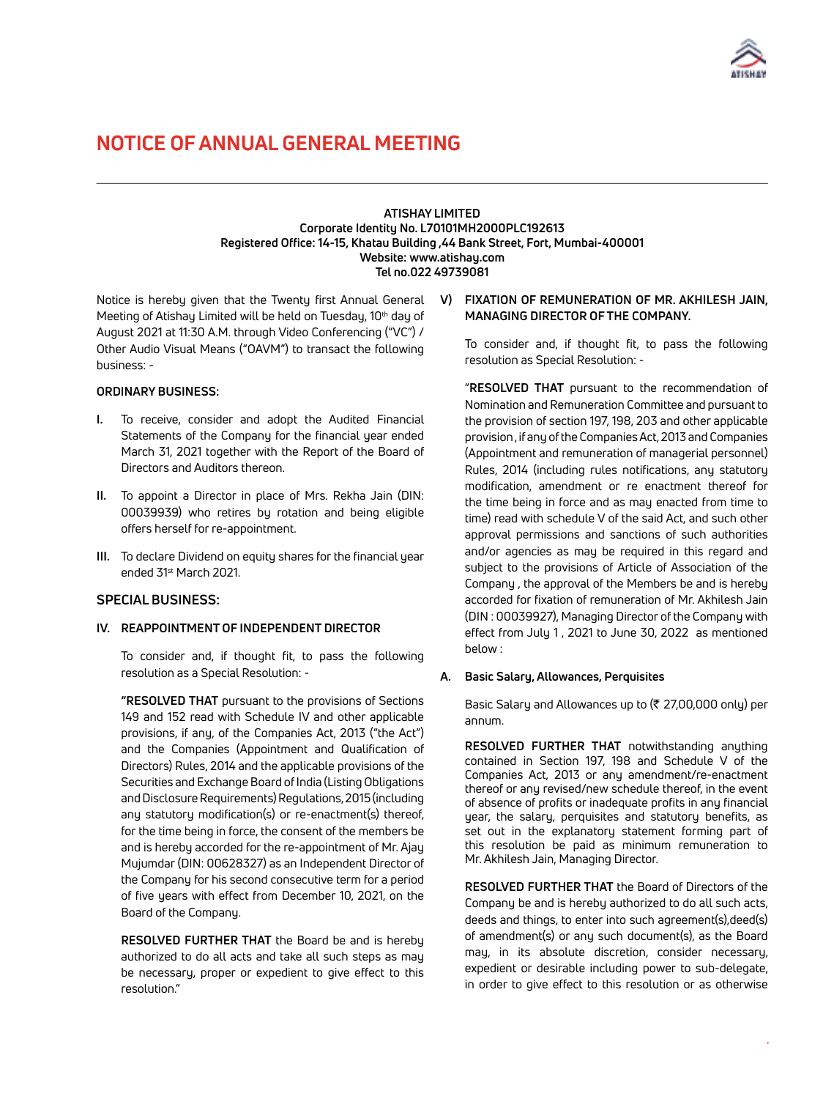

#### **ATISHAY LIMITED Corporate Identity No. L70101MH2000PLC192613 Registered Office: 14-15, Khatau Building ,44 Bank Street, Fort, Mumbai-400001 Website: www.atishay.com Tel no.022 49739081**

Notice is hereby given that the Twenty first Annual General Meeting of Atishay Limited will be held on Tuesday, 10<sup>th</sup> day of August 2021 at 11:30 A.M. through Video Conferencing ("VC") / Other Audio Visual Means ("OAVM") to transact the following business: -

#### **ORDINARY BUSINESS:**

- **I.** To receive, consider and adopt the Audited Financial Statements of the Company for the financial year ended March 31, 2021 together with the Report of the Board of Directors and Auditors thereon.
- **II.** To appoint a Director in place of Mrs. Rekha Jain (DIN: 00039939) who retires by rotation and being eligible offers herself for re-appointment.
- **III.** To declare Dividend on equity shares for the financial year ended 31st March 2021.

### **SPECIAL BUSINESS:**

### **IV. REAPPOINTMENT OF INDEPENDENT DIRECTOR**

To consider and, if thought fit, to pass the following resolution as a Special Resolution: -

**"RESOLVED THAT** pursuant to the provisions of Sections 149 and 152 read with Schedule IV and other applicable provisions, if any, of the Companies Act, 2013 ("the Act") and the Companies (Appointment and Qualification of Directors) Rules, 2014 and the applicable provisions of the Securities and Exchange Board of India (Listing Obligations and Disclosure Requirements) Regulations, 2015 (including any statutory modification(s) or re-enactment(s) thereof, for the time being in force, the consent of the members be and is hereby accorded for the re-appointment of Mr. Ajay Mujumdar (DIN: 00628327) as an Independent Director of the Company for his second consecutive term for a period of five years with effect from December 10, 2021, on the Board of the Company.

**RESOLVED FURTHER THAT** the Board be and is hereby authorized to do all acts and take all such steps as may be necessary, proper or expedient to give effect to this resolution."

#### **V) FIXATION OF REMUNERATION OF MR. AKHILESH JAIN, MANAGING DIRECTOR OF THE COMPANY.**

To consider and, if thought fit, to pass the following resolution as Special Resolution: -

 "**RESOLVED THAT** pursuant to the recommendation of Nomination and Remuneration Committee and pursuant to the provision of section 197, 198, 203 and other applicable provision , if any of the Companies Act, 2013 and Companies (Appointment and remuneration of managerial personnel) Rules, 2014 (including rules notifications, any statutory modification, amendment or re enactment thereof for the time being in force and as may enacted from time to time) read with schedule V of the said Act, and such other approval permissions and sanctions of such authorities and/or agencies as may be required in this regard and subject to the provisions of Article of Association of the Company , the approval of the Members be and is hereby accorded for fixation of remuneration of Mr. Akhilesh Jain (DIN : 00039927), Managing Director of the Company with effect from July 1 , 2021 to June 30, 2022 as mentioned below :

#### **A. Basic Salary, Allowances, Perquisites**

Basic Salary and Allowances up to  $(27,00,000)$  only) per annum.

**RESOLVED FURTHER THAT** notwithstanding anything contained in Section 197, 198 and Schedule V of the Companies Act, 2013 or any amendment/re-enactment thereof or any revised/new schedule thereof, in the event of absence of profits or inadequate profits in any financial year, the salary, perquisites and statutory benefits, as set out in the explanatory statement forming part of this resolution be paid as minimum remuneration to Mr. Akhilesh Jain, Managing Director.

**RESOLVED FURTHER THAT** the Board of Directors of the Company be and is hereby authorized to do all such acts, deeds and things, to enter into such agreement(s),deed(s) of amendment(s) or any such document(s), as the Board may, in its absolute discretion, consider necessary, expedient or desirable including power to sub-delegate, in order to give effect to this resolution or as otherwise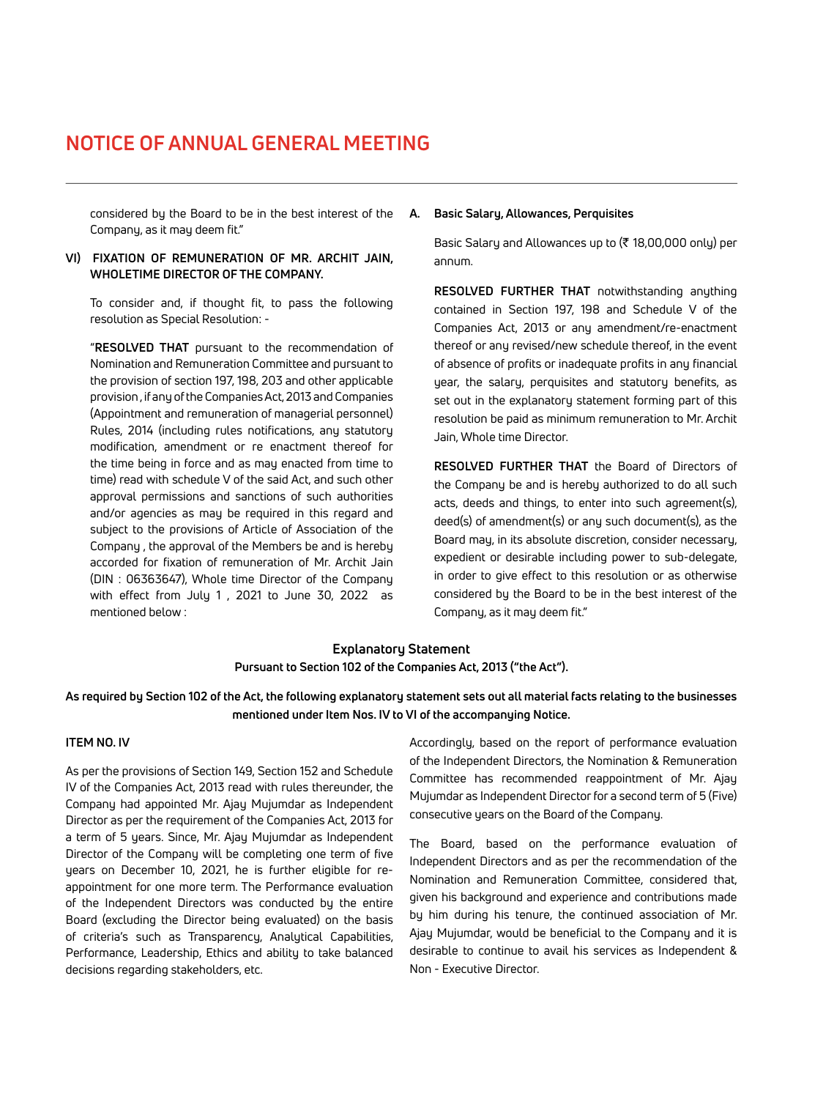considered by the Board to be in the best interest of the **A. Basic Salary, Allowances, Perquisites**  Company, as it may deem fit."

### **VI) FIXATION OF REMUNERATION OF MR. ARCHIT JAIN, WHOLETIME DIRECTOR OF THE COMPANY.**

To consider and, if thought fit, to pass the following resolution as Special Resolution: -

 "**RESOLVED THAT** pursuant to the recommendation of Nomination and Remuneration Committee and pursuant to the provision of section 197, 198, 203 and other applicable provision , if any of the Companies Act, 2013 and Companies (Appointment and remuneration of managerial personnel) Rules, 2014 (including rules notifications, any statutory modification, amendment or re enactment thereof for the time being in force and as may enacted from time to time) read with schedule V of the said Act, and such other approval permissions and sanctions of such authorities and/or agencies as may be required in this regard and subject to the provisions of Article of Association of the Company , the approval of the Members be and is hereby accorded for fixation of remuneration of Mr. Archit Jain (DIN : 06363647), Whole time Director of the Company with effect from July 1 , 2021 to June 30, 2022 as mentioned below :

Basic Salary and Allowances up to  $(\bar{\tau})$  18,00,000 only) per annum.

**RESOLVED FURTHER THAT** notwithstanding anything contained in Section 197, 198 and Schedule V of the Companies Act, 2013 or any amendment/re-enactment thereof or any revised/new schedule thereof, in the event of absence of profits or inadequate profits in any financial year, the salary, perquisites and statutory benefits, as set out in the explanatory statement forming part of this resolution be paid as minimum remuneration to Mr. Archit Jain, Whole time Director.

**RESOLVED FURTHER THAT** the Board of Directors of the Company be and is hereby authorized to do all such acts, deeds and things, to enter into such agreement(s), deed(s) of amendment(s) or any such document(s), as the Board may, in its absolute discretion, consider necessary, expedient or desirable including power to sub-delegate, in order to give effect to this resolution or as otherwise considered by the Board to be in the best interest of the Company, as it may deem fit."

## **Explanatory Statement Pursuant to Section 102 of the Companies Act, 2013 ("the Act").**

### **As required by Section 102 of the Act, the following explanatory statement sets out all material facts relating to the businesses mentioned under Item Nos. IV to VI of the accompanying Notice.**

#### **ITEM NO. IV**

As per the provisions of Section 149, Section 152 and Schedule IV of the Companies Act, 2013 read with rules thereunder, the Company had appointed Mr. Ajay Mujumdar as Independent Director as per the requirement of the Companies Act, 2013 for a term of 5 years. Since, Mr. Ajay Mujumdar as Independent Director of the Company will be completing one term of five years on December 10, 2021, he is further eligible for reappointment for one more term. The Performance evaluation of the Independent Directors was conducted by the entire Board (excluding the Director being evaluated) on the basis of criteria's such as Transparency, Analytical Capabilities, Performance, Leadership, Ethics and ability to take balanced decisions regarding stakeholders, etc.

Accordingly, based on the report of performance evaluation of the Independent Directors, the Nomination & Remuneration Committee has recommended reappointment of Mr. Ajay Mujumdar as Independent Director for a second term of 5 (Five) consecutive years on the Board of the Company.

The Board, based on the performance evaluation of Independent Directors and as per the recommendation of the Nomination and Remuneration Committee, considered that, given his background and experience and contributions made by him during his tenure, the continued association of Mr. Ajay Mujumdar, would be beneficial to the Company and it is desirable to continue to avail his services as Independent & Non - Executive Director.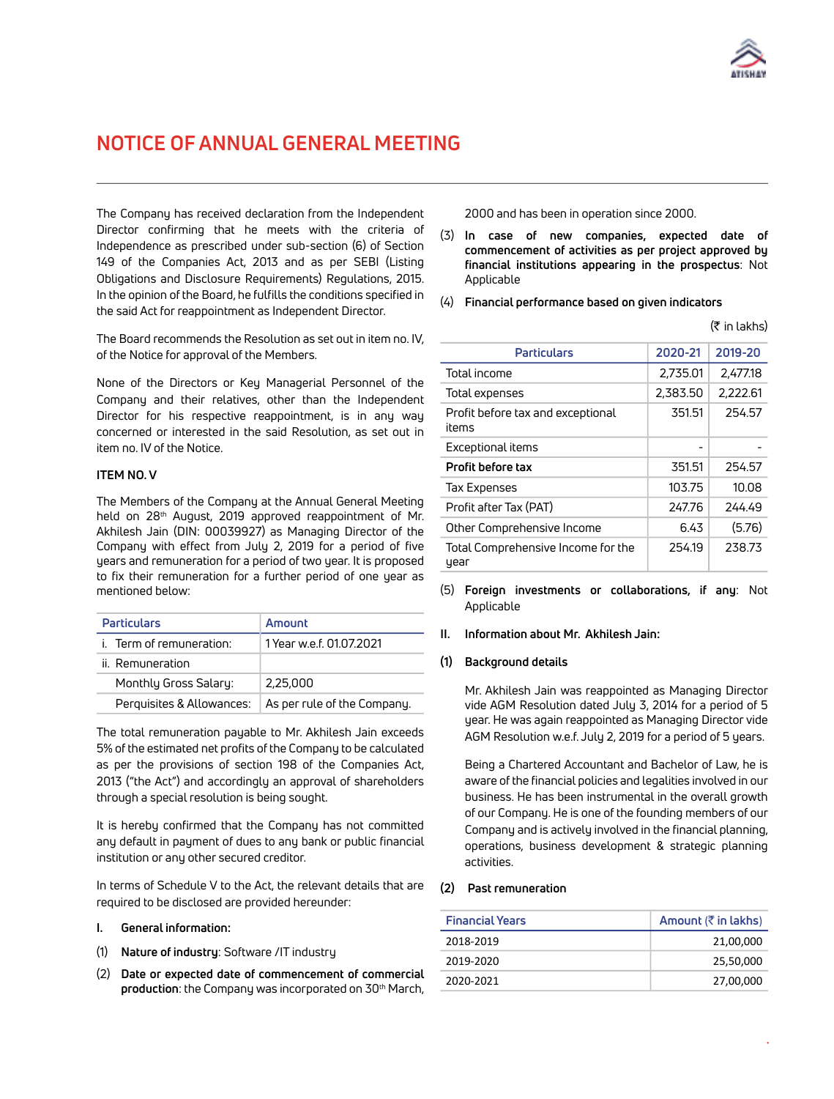

 $(\pm$  in lakhs)

# **NOTICE OF ANNUAL GENERAL MEETING**

The Company has received declaration from the Independent Director confirming that he meets with the criteria of Independence as prescribed under sub-section (6) of Section 149 of the Companies Act, 2013 and as per SEBI (Listing Obligations and Disclosure Requirements) Regulations, 2015. In the opinion of the Board, he fulfills the conditions specified in the said Act for reappointment as Independent Director.

The Board recommends the Resolution as set out in item no. IV, of the Notice for approval of the Members.

None of the Directors or Key Managerial Personnel of the Company and their relatives, other than the Independent Director for his respective reappointment, is in any way concerned or interested in the said Resolution, as set out in item no. IV of the Notice.

#### **ITEM NO. V**

The Members of the Company at the Annual General Meeting held on 28<sup>th</sup> August, 2019 approved reappointment of Mr. Akhilesh Jain (DIN: 00039927) as Managing Director of the Company with effect from July 2, 2019 for a period of five years and remuneration for a period of two year. It is proposed to fix their remuneration for a further period of one year as mentioned below:

| <b>Particulars</b>        | Amount                      |  |
|---------------------------|-----------------------------|--|
| i. Term of remuneration:  | 1 Year w.e.f. 01.07.2021    |  |
| ii. Remuneration          |                             |  |
| Monthly Gross Salary:     | 2,25,000                    |  |
| Perguisites & Allowances: | As per rule of the Company. |  |

The total remuneration payable to Mr. Akhilesh Jain exceeds 5% of the estimated net profits of the Company to be calculated as per the provisions of section 198 of the Companies Act, 2013 ("the Act") and accordingly an approval of shareholders through a special resolution is being sought.

It is hereby confirmed that the Company has not committed any default in payment of dues to any bank or public financial institution or any other secured creditor.

In terms of Schedule V to the Act, the relevant details that are required to be disclosed are provided hereunder:

- **I. General information:**
- (1) **Nature of industry**: Software /IT industry
- (2) **Date or expected date of commencement of commercial**  production: the Company was incorporated on 30<sup>th</sup> March,

2000 and has been in operation since 2000.

- (3) **In case of new companies, expected date of commencement of activities as per project approved by financial institutions appearing in the prospectus**: Not Applicable
- (4) **Financial performance based on given indicators**

|                                            |          | $\mathcal{U}$ in Lands |
|--------------------------------------------|----------|------------------------|
| <b>Particulars</b>                         | 2020-21  | 2019-20                |
| Total income                               | 2,735.01 | 2.477.18               |
| Total expenses                             | 2,383.50 | 2,222.61               |
| Profit before tax and exceptional<br>items | 351.51   | 254.57                 |
| Exceptional items                          |          |                        |
| Profit before tax                          | 351.51   | 254.57                 |
| Tax Expenses                               | 103.75   | 10.08                  |
| Profit after Tax (PAT)                     | 247.76   | 244.49                 |
| Other Comprehensive Income                 | 6.43     | (5.76)                 |
| Total Comprehensive Income for the<br>year | 254.19   | 238.73                 |

(5) **Foreign investments or collaborations, if any**: Not Applicable

#### **II. Information about Mr. Akhilesh Jain:**

#### **(1) Background details**

Mr. Akhilesh Jain was reappointed as Managing Director vide AGM Resolution dated July 3, 2014 for a period of 5 year. He was again reappointed as Managing Director vide AGM Resolution w.e.f. July 2, 2019 for a period of 5 years.

Being a Chartered Accountant and Bachelor of Law, he is aware of the financial policies and legalities involved in our business. He has been instrumental in the overall growth of our Company. He is one of the founding members of our Company and is actively involved in the financial planning, operations, business development & strategic planning activities.

#### **(2) Past remuneration**

| <b>Financial Years</b> | Amount $(\bar{\bar{\zeta}})$ in lakhs) |
|------------------------|----------------------------------------|
| 2018-2019              | 21,00,000                              |
| 2019-2020              | 25,50,000                              |
| 2020-2021              | 27,00,000                              |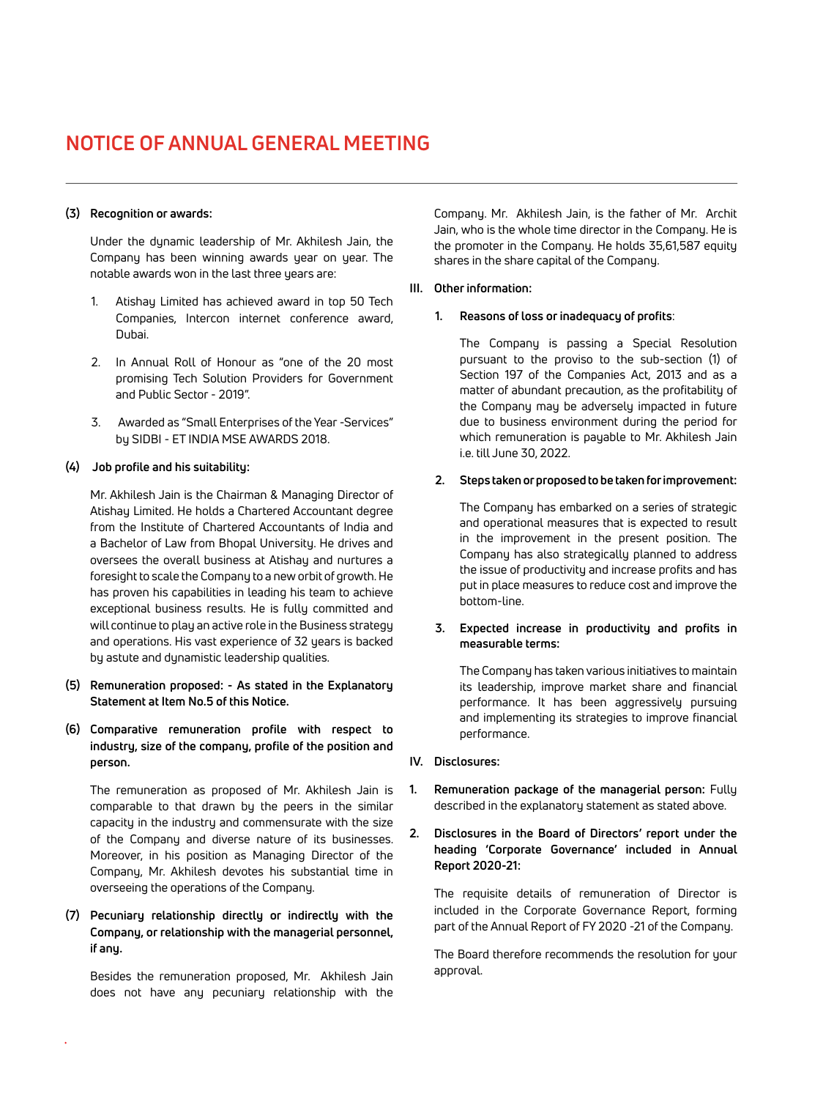#### **(3) Recognition or awards:**

Under the dynamic leadership of Mr. Akhilesh Jain, the Company has been winning awards year on year. The notable awards won in the last three years are:

- 1. Atishay Limited has achieved award in top 50 Tech Companies, Intercon internet conference award, Dubai.
- 2. In Annual Roll of Honour as "one of the 20 most promising Tech Solution Providers for Government and Public Sector - 2019".
- 3. Awarded as "Small Enterprises of the Year -Services" by SIDBI - ET INDIA MSE AWARDS 2018.

#### **(4) Job profile and his suitability:**

Mr. Akhilesh Jain is the Chairman & Managing Director of Atishay Limited. He holds a Chartered Accountant degree from the Institute of Chartered Accountants of India and a Bachelor of Law from Bhopal University. He drives and oversees the overall business at Atishay and nurtures a foresight to scale the Company to a new orbit of growth. He has proven his capabilities in leading his team to achieve exceptional business results. He is fully committed and will continue to play an active role in the Business strategy and operations. His vast experience of 32 years is backed by astute and dynamistic leadership qualities.

- **(5) Remuneration proposed: - As stated in the Explanatory Statement at Item No.5 of this Notice.**
- **(6) Comparative remuneration profile with respect to industry, size of the company, profile of the position and person.**

The remuneration as proposed of Mr. Akhilesh Jain is comparable to that drawn by the peers in the similar capacity in the industry and commensurate with the size of the Company and diverse nature of its businesses. Moreover, in his position as Managing Director of the Company, Mr. Akhilesh devotes his substantial time in overseeing the operations of the Company.

**(7) Pecuniary relationship directly or indirectly with the Company, or relationship with the managerial personnel, if any.**

Besides the remuneration proposed, Mr. Akhilesh Jain does not have any pecuniary relationship with the

Company. Mr. Akhilesh Jain, is the father of Mr. Archit Jain, who is the whole time director in the Company. He is the promoter in the Company. He holds 35,61,587 equity shares in the share capital of the Company.

#### **III. Other information:**

#### **1. Reasons of loss or inadequacy of profits**:

The Company is passing a Special Resolution pursuant to the proviso to the sub-section (1) of Section 197 of the Companies Act, 2013 and as a matter of abundant precaution, as the profitability of the Company may be adversely impacted in future due to business environment during the period for which remuneration is payable to Mr. Akhilesh Jain i.e. till June 30, 2022.

#### **2. Steps taken or proposed to be taken for improvement:**

The Company has embarked on a series of strategic and operational measures that is expected to result in the improvement in the present position. The Company has also strategically planned to address the issue of productivity and increase profits and has put in place measures to reduce cost and improve the bottom-line.

#### **3. Expected increase in productivity and profits in measurable terms:**

The Company has taken various initiatives to maintain its leadership, improve market share and financial performance. It has been aggressively pursuing and implementing its strategies to improve financial performance.

- **IV. Disclosures:**
- **1. Remuneration package of the managerial person:** Fully described in the explanatory statement as stated above.
- **2. Disclosures in the Board of Directors' report under the heading 'Corporate Governance' included in Annual Report 2020-21:**

The requisite details of remuneration of Director is included in the Corporate Governance Report, forming part of the Annual Report of FY 2020 -21 of the Company.

The Board therefore recommends the resolution for your approval.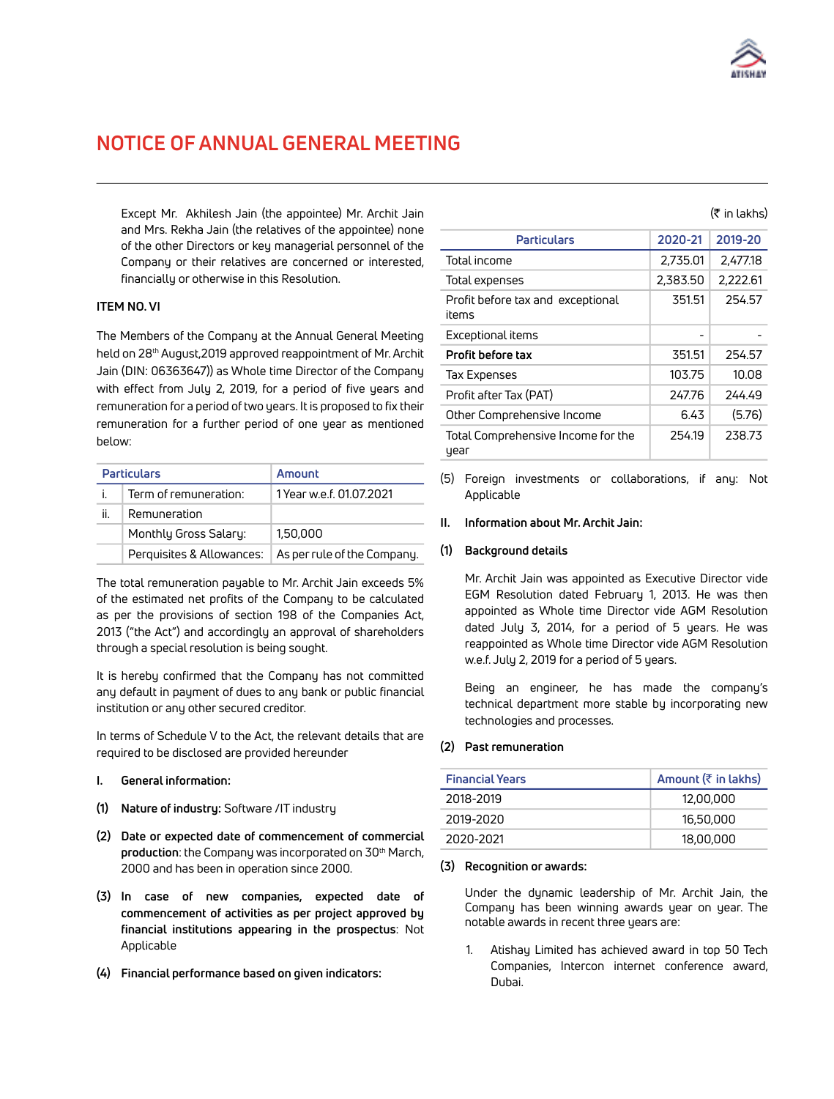

Except Mr. Akhilesh Jain (the appointee) Mr. Archit Jain and Mrs. Rekha Jain (the relatives of the appointee) none of the other Directors or key managerial personnel of the Company or their relatives are concerned or interested, financially or otherwise in this Resolution.

#### **ITEM NO. VI**

The Members of the Company at the Annual General Meeting held on 28<sup>th</sup> August, 2019 approved reappointment of Mr. Archit Jain (DIN: 06363647)) as Whole time Director of the Company with effect from July 2, 2019, for a period of five years and remuneration for a period of two years. It is proposed to fix their remuneration for a further period of one year as mentioned below:

|                                                    | <b>Particulars</b>    | Amount                      |  |
|----------------------------------------------------|-----------------------|-----------------------------|--|
| Ť.                                                 | Term of remuneration: | 1 Year w.e.f. 01.07.2021    |  |
| ii.                                                | Remuneration          |                             |  |
| Monthly Gross Salary:<br>Perguisites & Allowances: |                       | 1,50,000                    |  |
|                                                    |                       | As per rule of the Company. |  |

The total remuneration payable to Mr. Archit Jain exceeds 5% of the estimated net profits of the Company to be calculated as per the provisions of section 198 of the Companies Act, 2013 ("the Act") and accordingly an approval of shareholders through a special resolution is being sought.

It is hereby confirmed that the Company has not committed any default in payment of dues to any bank or public financial institution or any other secured creditor.

In terms of Schedule V to the Act, the relevant details that are required to be disclosed are provided hereunder

- **I. General information:**
- **(1) Nature of industry:** Software /IT industry
- **(2) Date or expected date of commencement of commercial**  production: the Company was incorporated on 30<sup>th</sup> March, 2000 and has been in operation since 2000.
- **(3) In case of new companies, expected date of commencement of activities as per project approved by financial institutions appearing in the prospectus**: Not Applicable
- **(4) Financial performance based on given indicators:**

#### $(5$  in lakhs)

| <b>Particulars</b>                         | 2020-21  | 2019-20  |
|--------------------------------------------|----------|----------|
| Total income                               | 2,735.01 | 2,477.18 |
| Total expenses                             | 2,383.50 | 2,222.61 |
| Profit before tax and exceptional<br>items | 351.51   | 254.57   |
| Exceptional items                          |          |          |
| Profit before tax                          | 351.51   | 254.57   |
| Tax Expenses                               | 103.75   | 10.08    |
| Profit after Tax (PAT)                     | 247.76   | 244.49   |
| Other Comprehensive Income                 | 6.43     | (5.76)   |
| Total Comprehensive Income for the<br>year | 254.19   | 238.73   |

(5) Foreign investments or collaborations, if any: Not Applicable

#### **II. Information about Mr. Archit Jain:**

#### **(1) Background details**

Mr. Archit Jain was appointed as Executive Director vide EGM Resolution dated February 1, 2013. He was then appointed as Whole time Director vide AGM Resolution dated July 3, 2014, for a period of 5 years. He was reappointed as Whole time Director vide AGM Resolution w.e.f. July 2, 2019 for a period of 5 years.

Being an engineer, he has made the company's technical department more stable by incorporating new technologies and processes.

#### **(2) Past remuneration**

| <b>Financial Years</b> | Amount $(\bar{z}$ in lakhs) |
|------------------------|-----------------------------|
| 2018-2019              | 12,00,000                   |
| 2019-2020              | 16,50,000                   |
| 2020-2021              | 18,00,000                   |

#### **(3) Recognition or awards:**

Under the dynamic leadership of Mr. Archit Jain, the Company has been winning awards year on year. The notable awards in recent three years are:

1. Atishay Limited has achieved award in top 50 Tech Companies, Intercon internet conference award, Dubai.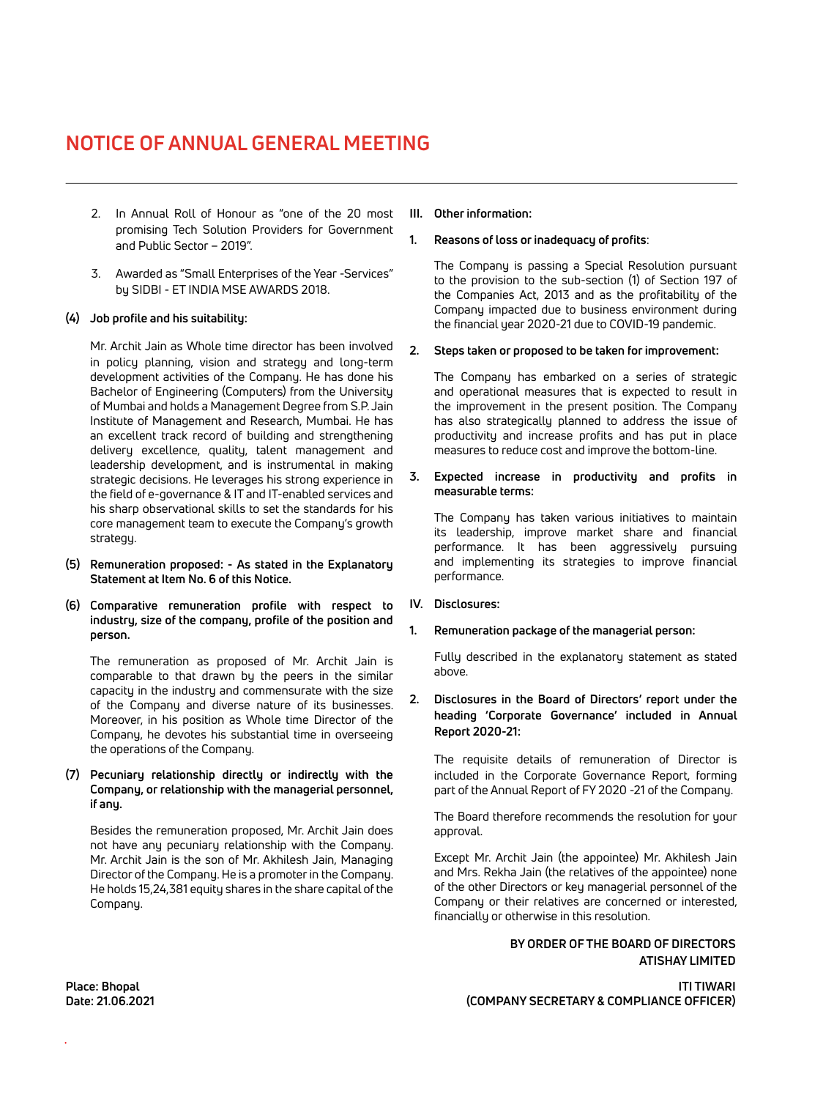- 2. In Annual Roll of Honour as "one of the 20 most promising Tech Solution Providers for Government and Public Sector – 2019".
- 3. Awarded as "Small Enterprises of the Year -Services" by SIDBI - ET INDIA MSE AWARDS 2018.

#### **(4) Job profile and his suitability:**

Mr. Archit Jain as Whole time director has been involved in policy planning, vision and strategy and long-term development activities of the Company. He has done his Bachelor of Engineering (Computers) from the University of Mumbai and holds a Management Degree from S.P. Jain Institute of Management and Research, Mumbai. He has an excellent track record of building and strengthening delivery excellence, quality, talent management and leadership development, and is instrumental in making strategic decisions. He leverages his strong experience in the field of e-governance & IT and IT-enabled services and his sharp observational skills to set the standards for his core management team to execute the Company's growth strategy.

- **(5) Remuneration proposed: - As stated in the Explanatory Statement at Item No. 6 of this Notice.**
- **(6) Comparative remuneration profile with respect to industry, size of the company, profile of the position and person.**

The remuneration as proposed of Mr. Archit Jain is comparable to that drawn by the peers in the similar capacity in the industry and commensurate with the size of the Company and diverse nature of its businesses. Moreover, in his position as Whole time Director of the Company, he devotes his substantial time in overseeing the operations of the Company.

#### **(7) Pecuniary relationship directly or indirectly with the Company, or relationship with the managerial personnel, if any.**

Besides the remuneration proposed, Mr. Archit Jain does not have any pecuniary relationship with the Company. Mr. Archit Jain is the son of Mr. Akhilesh Jain, Managing Director of the Company. He is a promoter in the Company. He holds 15,24,381 equity shares in the share capital of the Company.

#### **III. Other information:**

#### **1. Reasons of loss or inadequacy of profits**:

The Company is passing a Special Resolution pursuant to the provision to the sub-section (1) of Section 197 of the Companies Act, 2013 and as the profitability of the Company impacted due to business environment during the financial year 2020-21 due to COVID-19 pandemic.

#### **2. Steps taken or proposed to be taken for improvement:**

The Company has embarked on a series of strategic and operational measures that is expected to result in the improvement in the present position. The Company has also strategically planned to address the issue of productivity and increase profits and has put in place measures to reduce cost and improve the bottom-line.

**3. Expected increase in productivity and profits in measurable terms:** 

The Company has taken various initiatives to maintain its leadership, improve market share and financial performance. It has been aggressively pursuing and implementing its strategies to improve financial performance.

#### **IV. Disclosures:**

#### **1. Remuneration package of the managerial person:**

Fully described in the explanatory statement as stated above.

### **2. Disclosures in the Board of Directors' report under the heading 'Corporate Governance' included in Annual Report 2020-21:**

The requisite details of remuneration of Director is included in the Corporate Governance Report, forming part of the Annual Report of FY 2020 -21 of the Company.

The Board therefore recommends the resolution for your approval.

Except Mr. Archit Jain (the appointee) Mr. Akhilesh Jain and Mrs. Rekha Jain (the relatives of the appointee) none of the other Directors or key managerial personnel of the Company or their relatives are concerned or interested, financially or otherwise in this resolution.

> **BY ORDER OF THE BOARD OF DIRECTORS ATISHAY LIMITED**

**Place: Bhopal ITI TIWARI Date: 21.06.2021 (COMPANY SECRETARY & COMPLIANCE OFFICER)**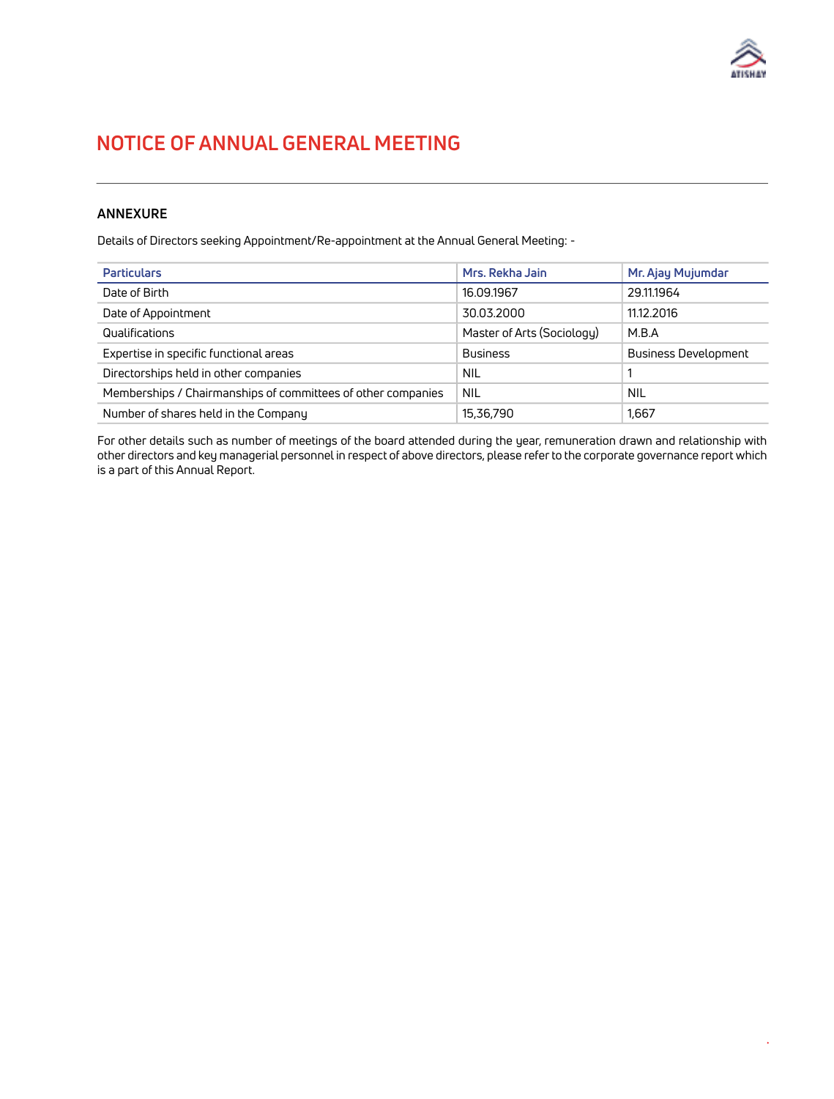

# **ANNEXURE**

Details of Directors seeking Appointment/Re-appointment at the Annual General Meeting: -

| <b>Particulars</b>                                           | Mrs. Rekha Jain            | Mr. Ajay Mujumdar           |
|--------------------------------------------------------------|----------------------------|-----------------------------|
| Date of Birth                                                | 16.09.1967                 | 29.11.1964                  |
| Date of Appointment                                          | 30.03.2000                 | 11.12.2016                  |
| Qualifications                                               | Master of Arts (Sociology) | M.B.A                       |
| Expertise in specific functional areas                       | <b>Business</b>            | <b>Business Development</b> |
| Directorships held in other companies                        | <b>NIL</b>                 |                             |
| Memberships / Chairmanships of committees of other companies | <b>NIL</b>                 | NIL                         |
| Number of shares held in the Company                         | 15,36,790                  | 1,667                       |

For other details such as number of meetings of the board attended during the year, remuneration drawn and relationship with other directors and key managerial personnel in respect of above directors, please refer to the corporate governance report which is a part of this Annual Report.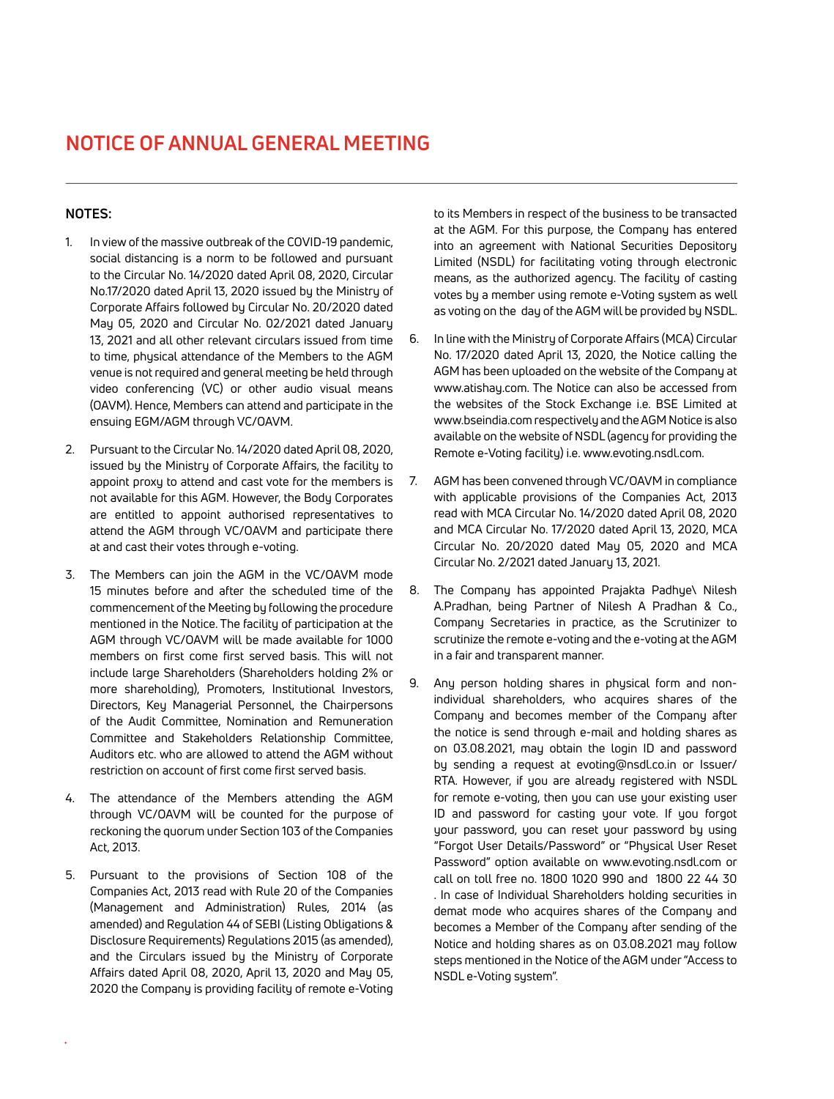### **NOTES:**

- 1. In view of the massive outbreak of the COVID-19 pandemic, social distancing is a norm to be followed and pursuant to the Circular No. 14/2020 dated April 08, 2020, Circular No.17/2020 dated April 13, 2020 issued by the Ministry of Corporate Affairs followed by Circular No. 20/2020 dated May 05, 2020 and Circular No. 02/2021 dated January 13, 2021 and all other relevant circulars issued from time to time, physical attendance of the Members to the AGM venue is not required and general meeting be held through video conferencing (VC) or other audio visual means (OAVM). Hence, Members can attend and participate in the ensuing EGM/AGM through VC/OAVM.
- 2. Pursuant to the Circular No. 14/2020 dated April 08, 2020, issued by the Ministry of Corporate Affairs, the facility to appoint proxy to attend and cast vote for the members is not available for this AGM. However, the Body Corporates are entitled to appoint authorised representatives to attend the AGM through VC/OAVM and participate there at and cast their votes through e-voting.
- 3. The Members can join the AGM in the VC/OAVM mode 15 minutes before and after the scheduled time of the commencement of the Meeting by following the procedure mentioned in the Notice. The facility of participation at the AGM through VC/OAVM will be made available for 1000 members on first come first served basis. This will not include large Shareholders (Shareholders holding 2% or more shareholding), Promoters, Institutional Investors, Directors, Key Managerial Personnel, the Chairpersons of the Audit Committee, Nomination and Remuneration Committee and Stakeholders Relationship Committee, Auditors etc. who are allowed to attend the AGM without restriction on account of first come first served basis.
- 4. The attendance of the Members attending the AGM through VC/OAVM will be counted for the purpose of reckoning the quorum under Section 103 of the Companies Act, 2013.
- 5. Pursuant to the provisions of Section 108 of the Companies Act, 2013 read with Rule 20 of the Companies (Management and Administration) Rules, 2014 (as amended) and Regulation 44 of SEBI (Listing Obligations & Disclosure Requirements) Regulations 2015 (as amended), and the Circulars issued by the Ministry of Corporate Affairs dated April 08, 2020, April 13, 2020 and May 05, 2020 the Company is providing facility of remote e-Voting

to its Members in respect of the business to be transacted at the AGM. For this purpose, the Company has entered into an agreement with National Securities Depository Limited (NSDL) for facilitating voting through electronic means, as the authorized agency. The facility of casting votes by a member using remote e-Voting system as well as voting on the day of the AGM will be provided by NSDL.

- 6. In line with the Ministry of Corporate Affairs (MCA) Circular No. 17/2020 dated April 13, 2020, the Notice calling the AGM has been uploaded on the website of the Company at www.atishay.com. The Notice can also be accessed from the websites of the Stock Exchange i.e. BSE Limited at www.bseindia.com respectively and the AGM Notice is also available on the website of NSDL (agency for providing the Remote e-Voting facility) i.e. www.evoting.nsdl.com.
- 7. AGM has been convened through VC/OAVM in compliance with applicable provisions of the Companies Act, 2013 read with MCA Circular No. 14/2020 dated April 08, 2020 and MCA Circular No. 17/2020 dated April 13, 2020, MCA Circular No. 20/2020 dated May 05, 2020 and MCA Circular No. 2/2021 dated January 13, 2021.
- 8. The Company has appointed Prajakta Padhye\ Nilesh A.Pradhan, being Partner of Nilesh A Pradhan & Co., Company Secretaries in practice, as the Scrutinizer to scrutinize the remote e-voting and the e-voting at the AGM in a fair and transparent manner.
- 9. Any person holding shares in physical form and nonindividual shareholders, who acquires shares of the Company and becomes member of the Company after the notice is send through e-mail and holding shares as on 03.08.2021, may obtain the login ID and password by sending a request at evoting@nsdl.co.in or Issuer/ RTA. However, if you are already registered with NSDL for remote e-voting, then you can use your existing user ID and password for casting your vote. If you forgot your password, you can reset your password by using "Forgot User Details/Password" or "Physical User Reset Password" option available on www.evoting.nsdl.com or call on toll free no. 1800 1020 990 and 1800 22 44 30 . In case of Individual Shareholders holding securities in demat mode who acquires shares of the Company and becomes a Member of the Company after sending of the Notice and holding shares as on 03.08.2021 may follow steps mentioned in the Notice of the AGM under "Access to NSDL e-Voting system".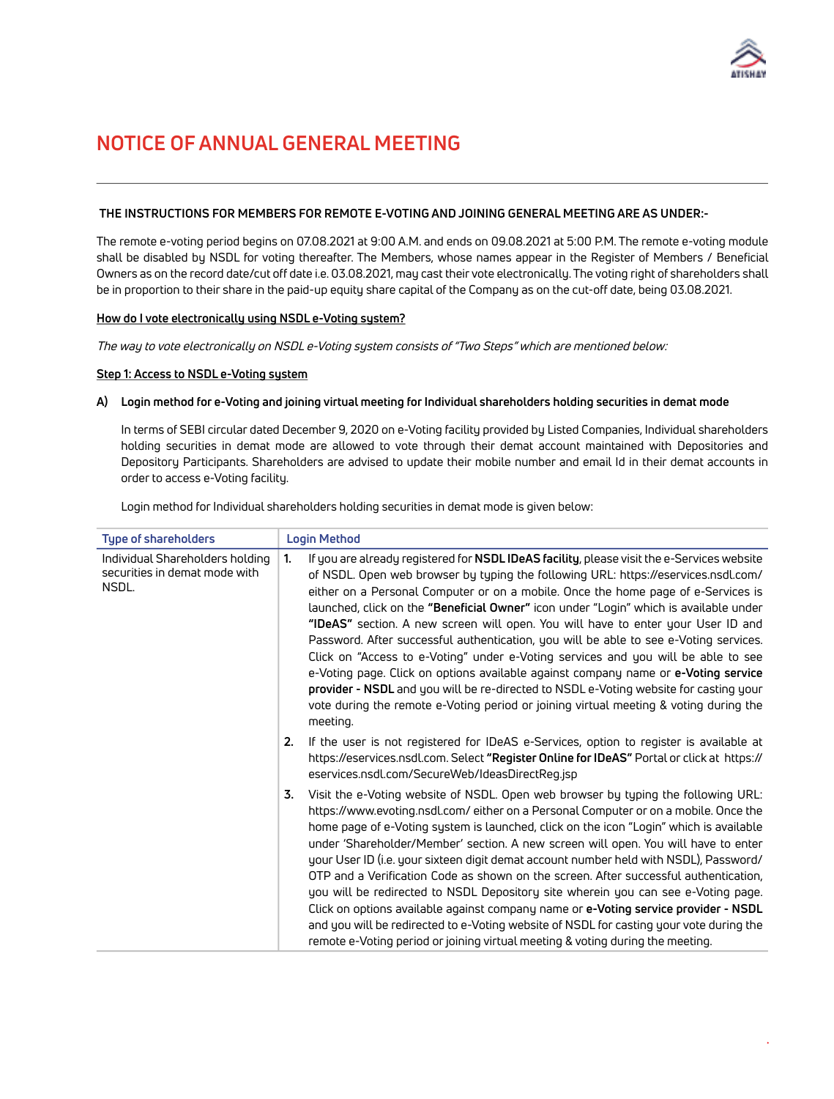

### **THE INSTRUCTIONS FOR MEMBERS FOR REMOTE E-VOTING AND JOINING GENERAL MEETING ARE AS UNDER:-**

The remote e-voting period begins on 07.08.2021 at 9:00 A.M. and ends on 09.08.2021 at 5:00 P.M. The remote e-voting module shall be disabled by NSDL for voting thereafter. The Members, whose names appear in the Register of Members / Beneficial Owners as on the record date/cut off date i.e. 03.08.2021, may cast their vote electronically. The voting right of shareholders shall be in proportion to their share in the paid-up equity share capital of the Company as on the cut-off date, being 03.08.2021.

#### **How do I vote electronically using NSDL e-Voting system?**

The way to vote electronically on NSDL e-Voting system consists of "Two Steps" which are mentioned below:

#### **Step 1: Access to NSDL e-Voting system**

#### **A) Login method for e-Voting and joining virtual meeting for Individual shareholders holding securities in demat mode**

In terms of SEBI circular dated December 9, 2020 on e-Voting facility provided by Listed Companies, Individual shareholders holding securities in demat mode are allowed to vote through their demat account maintained with Depositories and Depository Participants. Shareholders are advised to update their mobile number and email Id in their demat accounts in order to access e-Voting facility.

Login method for Individual shareholders holding securities in demat mode is given below:

| <b>Type of shareholders</b>                                               | <b>Login Method</b>                                                                                                                                                                                                                                                                                                                                                                                                                                                                                                                                                                                                                                                                                                                                                                                                                                                                                                        |
|---------------------------------------------------------------------------|----------------------------------------------------------------------------------------------------------------------------------------------------------------------------------------------------------------------------------------------------------------------------------------------------------------------------------------------------------------------------------------------------------------------------------------------------------------------------------------------------------------------------------------------------------------------------------------------------------------------------------------------------------------------------------------------------------------------------------------------------------------------------------------------------------------------------------------------------------------------------------------------------------------------------|
| Individual Shareholders holding<br>securities in demat mode with<br>NSDL. | 1.<br>If you are already registered for NSDL IDeAS facility, please visit the e-Services website<br>of NSDL. Open web browser by typing the following URL: https://eservices.nsdl.com/<br>either on a Personal Computer or on a mobile. Once the home page of e-Services is<br>launched, click on the "Beneficial Owner" icon under "Login" which is available under<br>"IDeAS" section. A new screen will open. You will have to enter your User ID and<br>Password. After successful authentication, you will be able to see e-Voting services.<br>Click on "Access to e-Voting" under e-Voting services and you will be able to see<br>e-Voting page. Click on options available against company name or e-Voting service<br>provider - NSDL and you will be re-directed to NSDL e-Voting website for casting your<br>vote during the remote e-Voting period or joining virtual meeting & voting during the<br>meeting. |
|                                                                           | If the user is not registered for IDeAS e-Services, option to register is available at<br>2.<br>https://eservices.nsdl.com. Select "Register Online for IDeAS" Portal or click at https://<br>eservices.nsdl.com/SecureWeb/IdeasDirectReg.jsp                                                                                                                                                                                                                                                                                                                                                                                                                                                                                                                                                                                                                                                                              |
|                                                                           | Visit the e-Voting website of NSDL. Open web browser by typing the following URL:<br>3.<br>https://www.evoting.nsdl.com/either on a Personal Computer or on a mobile. Once the<br>home page of e-Voting system is launched, click on the icon "Login" which is available<br>under 'Shareholder/Member' section. A new screen will open. You will have to enter<br>your User ID (i.e. your sixteen digit demat account number held with NSDL), Password/<br>OTP and a Verification Code as shown on the screen. After successful authentication,<br>you will be redirected to NSDL Depository site wherein you can see e-Voting page.<br>Click on options available against company name or e-Voting service provider - NSDL<br>and you will be redirected to e-Voting website of NSDL for casting your vote during the<br>remote e-Voting period or joining virtual meeting & voting during the meeting.                   |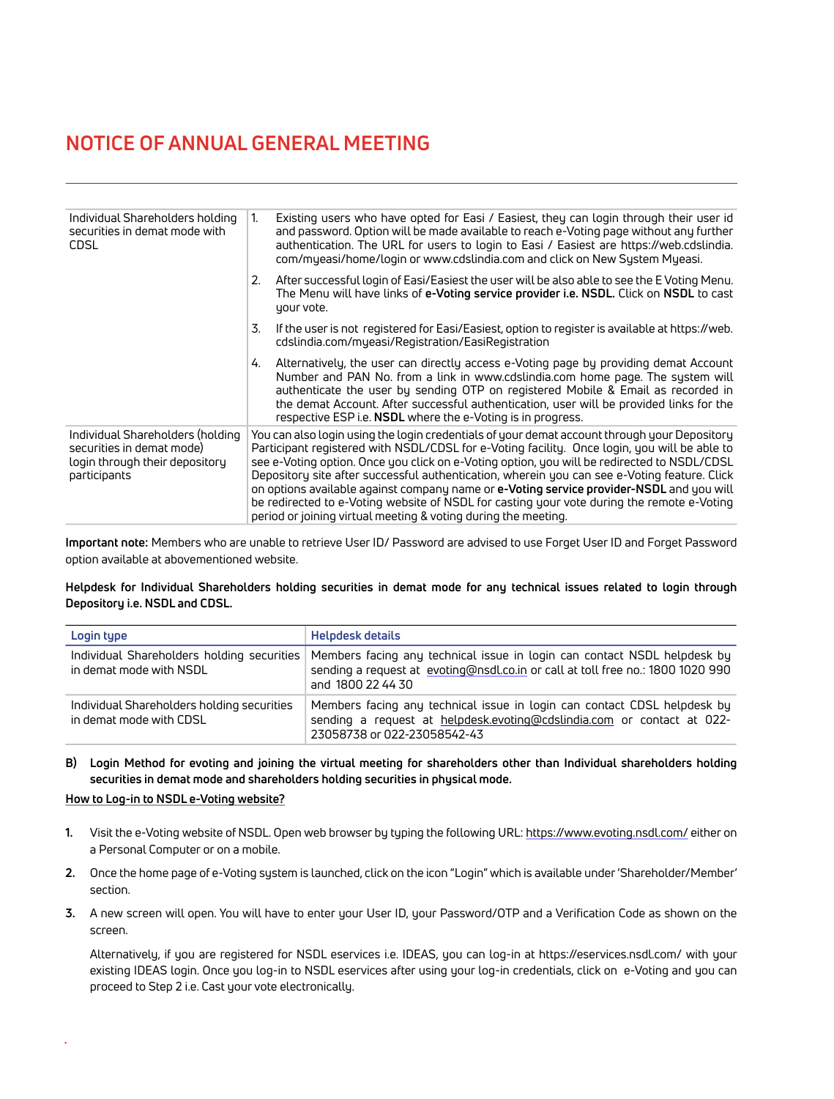| Individual Shareholders holding<br>securities in demat mode with<br><b>CDSL</b>                                 | 1. | Existing users who have opted for Easi / Easiest, they can login through their user id<br>and password. Option will be made available to reach e-Voting page without any further<br>authentication. The URL for users to login to Easi / Easiest are https://web.cdslindia.<br>com/myeasi/home/login or www.cdslindia.com and click on New System Myeasi.                                                                                                                                                                                                                                                                                               |
|-----------------------------------------------------------------------------------------------------------------|----|---------------------------------------------------------------------------------------------------------------------------------------------------------------------------------------------------------------------------------------------------------------------------------------------------------------------------------------------------------------------------------------------------------------------------------------------------------------------------------------------------------------------------------------------------------------------------------------------------------------------------------------------------------|
|                                                                                                                 | 2. | After successful login of Easi/Easiest the user will be also able to see the E Voting Menu.<br>The Menu will have links of <b>e-Voting service provider i.e. NSDL.</b> Click on <b>NSDL</b> to cast<br>your vote.                                                                                                                                                                                                                                                                                                                                                                                                                                       |
|                                                                                                                 | 3. | If the user is not registered for Easi/Easiest, option to register is available at https://web.<br>cdslindia.com/myeasi/Registration/EasiRegistration                                                                                                                                                                                                                                                                                                                                                                                                                                                                                                   |
|                                                                                                                 | 4. | Alternatively, the user can directly access e-Voting page by providing demat Account<br>Number and PAN No. from a link in www.cdslindia.com home page. The system will<br>authenticate the user by sending OTP on registered Mobile & Email as recorded in<br>the demat Account. After successful authentication, user will be provided links for the<br>respective ESP i.e. NSDL where the e-Voting is in progress.                                                                                                                                                                                                                                    |
| Individual Shareholders (holding<br>securities in demat mode)<br>login through their depository<br>participants |    | You can also login using the login credentials of your demat account through your Depository<br>Participant registered with NSDL/CDSL for e-Voting facility. Once login, you will be able to<br>see e-Voting option. Once you click on e-Voting option, you will be redirected to NSDL/CDSL<br>Depository site after successful authentication, wherein you can see e-Voting feature. Click<br>on options available against company name or e-Voting service provider-NSDL and you will<br>be redirected to e-Voting website of NSDL for casting your vote during the remote e-Voting<br>period or joining virtual meeting & voting during the meeting. |

**Important note:** Members who are unable to retrieve User ID/ Password are advised to use Forget User ID and Forget Password option available at abovementioned website.

### **Helpdesk for Individual Shareholders holding securities in demat mode for any technical issues related to login through Depository i.e. NSDL and CDSL.**

| Login type                                                            | <b>Helpdesk details</b>                                                                                                                                                           |  |
|-----------------------------------------------------------------------|-----------------------------------------------------------------------------------------------------------------------------------------------------------------------------------|--|
| Individual Shareholders holding securities<br>in demat mode with NSDL | Members facing any technical issue in login can contact NSDL helpdesk by<br>sending a request at evoting@nsdl.co.in or call at toll free no.: 1800 1020 990<br>and 1800 22 44 30  |  |
| Individual Shareholders holding securities<br>in demat mode with CDSL | Members facing any technical issue in login can contact CDSL helpdesk by<br>sending a request at helpdesk.evoting@cdslindia.com or contact at 022-<br>23058738 or 022-23058542-43 |  |

### **B) Login Method for evoting and joining the virtual meeting for shareholders other than Individual shareholders holding securities in demat mode and shareholders holding securities in physical mode.**

### **How to Log-in to NSDL e-Voting website?**

- **1.** Visit the e-Voting website of NSDL. Open web browser by typing the following URL:<https://www.evoting.nsdl.com/> either on a Personal Computer or on a mobile.
- **2.** Once the home page of e-Voting system is launched, click on the icon "Login" which is available under 'Shareholder/Member' section.
- **3.** A new screen will open. You will have to enter your User ID, your Password/OTP and a Verification Code as shown on the screen.

Alternatively, if you are registered for NSDL eservices i.e. IDEAS, you can log-in at <https://eservices.nsdl.com/>with your existing IDEAS login. Once you log-in to NSDL eservices after using your log-in credentials, click on e-Voting and you can proceed to Step 2 i.e. Cast your vote electronically.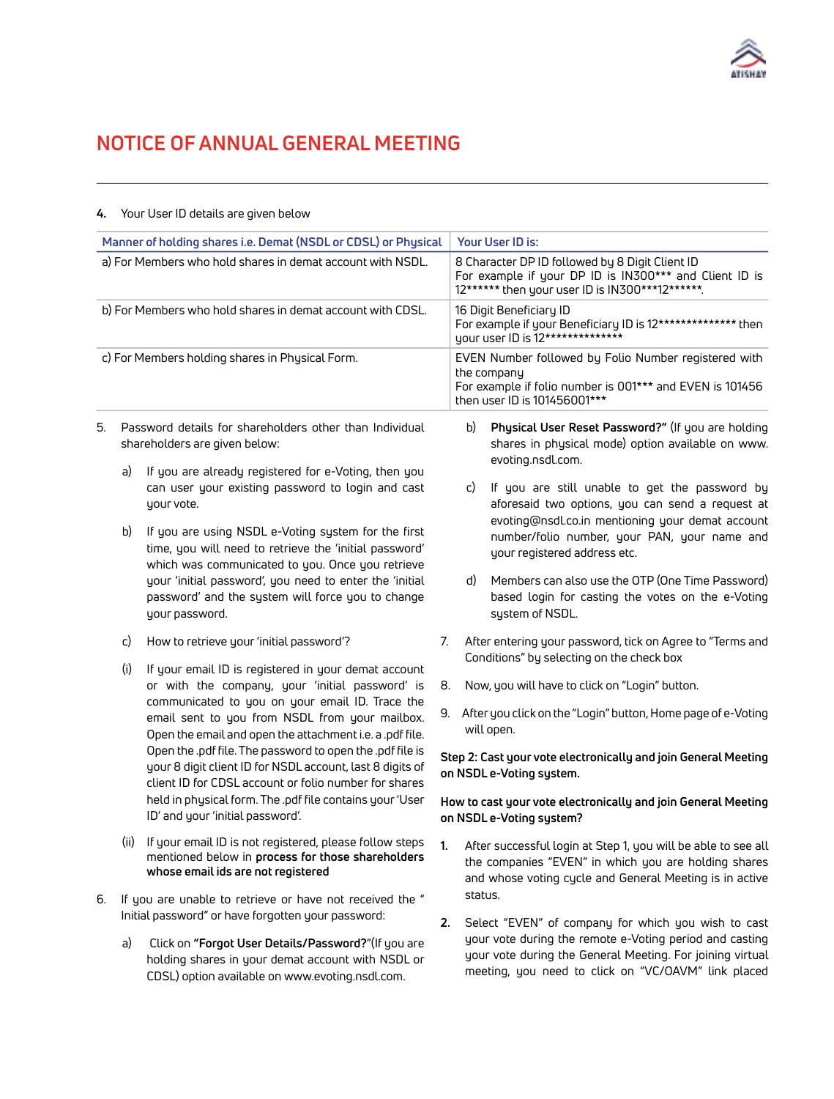

|                                                            |                                                                                                                                                                   | Manner of holding shares i.e. Demat (NSDL or CDSL) or Physical                                                                                                                                                                                                                                                                                   |                                                                                                                                                              | Your User ID is:                                                                                                                                                                            |
|------------------------------------------------------------|-------------------------------------------------------------------------------------------------------------------------------------------------------------------|--------------------------------------------------------------------------------------------------------------------------------------------------------------------------------------------------------------------------------------------------------------------------------------------------------------------------------------------------|--------------------------------------------------------------------------------------------------------------------------------------------------------------|---------------------------------------------------------------------------------------------------------------------------------------------------------------------------------------------|
| a) For Members who hold shares in demat account with NSDL. |                                                                                                                                                                   |                                                                                                                                                                                                                                                                                                                                                  | 8 Character DP ID followed by 8 Digit Client ID<br>For example if your DP ID is IN300*** and Client ID is<br>12****** then your user ID is IN300***12******. |                                                                                                                                                                                             |
| b) For Members who hold shares in demat account with CDSL. |                                                                                                                                                                   | 16 Digit Beneficiary ID<br>For example if your Beneficiary ID is 12************** then<br>your user ID is 12**************                                                                                                                                                                                                                       |                                                                                                                                                              |                                                                                                                                                                                             |
|                                                            |                                                                                                                                                                   | c) For Members holding shares in Physical Form.                                                                                                                                                                                                                                                                                                  |                                                                                                                                                              | EVEN Number followed by Folio Number registered with<br>the company<br>For example if folio number is 001*** and EVEN is 101456<br>then user ID is 101456001***                             |
| 5.                                                         | Password details for shareholders other than Individual<br>shareholders are given below:                                                                          |                                                                                                                                                                                                                                                                                                                                                  |                                                                                                                                                              | Physical User Reset Password?" (If you are holding<br>b)<br>shares in physical mode) option available on www.<br>evoting.nsdl.com.                                                          |
|                                                            | a)                                                                                                                                                                | If you are already registered for e-Voting, then you<br>can user your existing password to login and cast<br>your vote.                                                                                                                                                                                                                          |                                                                                                                                                              | If you are still unable to get the password by<br>C)<br>aforesaid two options, you can send a request at<br>evoting@nsdl.co.in mentioning your demat account                                |
|                                                            | b)                                                                                                                                                                | If you are using NSDL e-Voting system for the first<br>time, you will need to retrieve the 'initial password'<br>which was communicated to you. Once you retrieve<br>your 'initial password', you need to enter the 'initial<br>password' and the system will force you to change<br>your password.                                              |                                                                                                                                                              | number/folio number, your PAN, your name and<br>your registered address etc.                                                                                                                |
|                                                            |                                                                                                                                                                   |                                                                                                                                                                                                                                                                                                                                                  |                                                                                                                                                              | Members can also use the OTP (One Time Password)<br>d)<br>based login for casting the votes on the e-Voting<br>system of NSDL.                                                              |
|                                                            | c)                                                                                                                                                                | How to retrieve your 'initial password'?                                                                                                                                                                                                                                                                                                         |                                                                                                                                                              | After entering your password, tick on Agree to "Terms and<br>Conditions" by selecting on the check box                                                                                      |
|                                                            | (i)                                                                                                                                                               | If your email ID is registered in your demat account<br>or with the company, your 'initial password' is                                                                                                                                                                                                                                          | 8.                                                                                                                                                           | Now, you will have to click on "Login" button.                                                                                                                                              |
|                                                            |                                                                                                                                                                   | communicated to you on your email ID. Trace the<br>email sent to you from NSDL from your mailbox.<br>Open the email and open the attachment i.e. a .pdf file.<br>Open the .pdf file. The password to open the .pdf file is<br>your 8 digit client ID for NSDL account, last 8 digits of<br>client ID for CDSL account or folio number for shares |                                                                                                                                                              | 9. After you click on the "Login" button, Home page of e-Voting<br>will open.                                                                                                               |
|                                                            |                                                                                                                                                                   |                                                                                                                                                                                                                                                                                                                                                  |                                                                                                                                                              | Step 2: Cast your vote electronically and join General Meeting<br>on NSDL e-Voting system.                                                                                                  |
|                                                            | held in physical form. The .pdf file contains your 'User<br>ID' and your 'initial password'.                                                                      |                                                                                                                                                                                                                                                                                                                                                  |                                                                                                                                                              | How to cast your vote electronically and join General Meeting<br>on NSDL e-Voting system?                                                                                                   |
|                                                            |                                                                                                                                                                   | (ii) If your email ID is not registered, please follow steps<br>mentioned below in process for those shareholders<br>whose email ids are not registered                                                                                                                                                                                          | 1.                                                                                                                                                           | After successful login at Step 1, you will be able to see all<br>the companies "EVEN" in which you are holding shares<br>and whose voting cycle and General Meeting is in active<br>status. |
| 6.                                                         | If you are unable to retrieve or have not received the "<br>Initial password" or have forgotten your password:                                                    |                                                                                                                                                                                                                                                                                                                                                  | 2.                                                                                                                                                           | Select "EVEN" of company for which you wish to cast                                                                                                                                         |
|                                                            | a)<br>Click on "Forgot User Details/Password?"(If you are<br>holding shares in your demat account with NSDL or<br>CDSL) option available on www.evoting.nsdl.com. |                                                                                                                                                                                                                                                                                                                                                  |                                                                                                                                                              | your vote during the remote e-Voting period and casting<br>your vote during the General Meeting. For joining virtual<br>meeting, you need to click on "VC/OAVM" link placed                 |

# **4.** Your User ID details are given below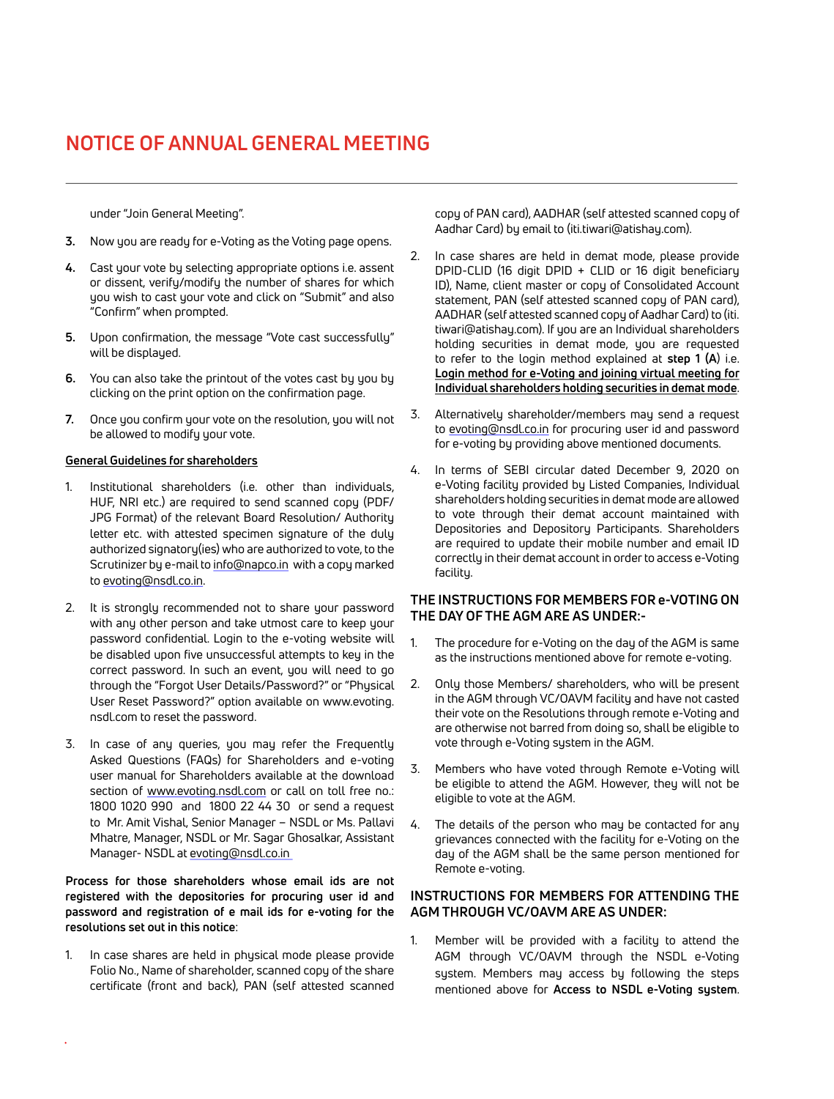under "Join General Meeting".

- **3.** Now you are ready for e-Voting as the Voting page opens.
- **4.** Cast your vote by selecting appropriate options i.e. assent or dissent, verify/modify the number of shares for which you wish to cast your vote and click on "Submit" and also "Confirm" when prompted.
- **5.** Upon confirmation, the message "Vote cast successfully" will be displayed.
- **6.** You can also take the printout of the votes cast by you by clicking on the print option on the confirmation page.
- **7.** Once you confirm your vote on the resolution, you will not be allowed to modify your vote.

#### **General Guidelines for shareholders**

- 1. Institutional shareholders (i.e. other than individuals, HUF, NRI etc.) are required to send scanned copy (PDF/ JPG Format) of the relevant Board Resolution/ Authority letter etc. with attested specimen signature of the duly authorized signatory(ies) who are authorized to vote, to the Scrutinizer by e-mail to [info@napco.in](mailto:info@napco.in) with a copy marked to [evoting@nsdl.co.in](mailto:evoting@nsdl.co.in).
- 2. It is strongly recommended not to share your password with any other person and take utmost care to keep your password confidential. Login to the e-voting website will be disabled upon five unsuccessful attempts to key in the correct password. In such an event, you will need to go through the "[Forgot User Details/Password?](https://www.evoting.nsdl.com/eVotingWeb/commonhtmls/NewUser.jsp)" or ["Physical](https://www.evoting.nsdl.com/eVotingWeb/commonhtmls/PhysicalUser.jsp) [User Reset Password?](https://www.evoting.nsdl.com/eVotingWeb/commonhtmls/PhysicalUser.jsp)" option available on www.evoting. nsdl.com to reset the password.
- 3. In case of any queries, you may refer the Frequently Asked Questions (FAQs) for Shareholders and e-voting user manual for Shareholders available at the download section of [www.evoting.nsdl.com](http://www.evoting.nsdl.com) or call on toll free no.: 1800 1020 990 and 1800 22 44 30 or send a request to Mr. Amit Vishal, Senior Manager – NSDL or Ms. Pallavi Mhatre, Manager, NSDL or Mr. Sagar Ghosalkar, Assistant Manager- NSDL at [evoting@nsdl.co.in](mailto:evoting@nsdl.co.in)

**Process for those shareholders whose email ids are not registered with the depositories for procuring user id and password and registration of e mail ids for e-voting for the resolutions set out in this notice**:

1. In case shares are held in physical mode please provide Folio No., Name of shareholder, scanned copy of the share certificate (front and back), PAN (self attested scanned copy of PAN card), AADHAR (self attested scanned copy of Aadhar Card) by email to (iti.tiwari@atishay.com).

- 2. In case shares are held in demat mode, please provide DPID-CLID (16 digit DPID + CLID or 16 digit beneficiary ID), Name, client master or copy of Consolidated Account statement, PAN (self attested scanned copy of PAN card), AADHAR (self attested scanned copy of Aadhar Card) to (iti. tiwari@atishay.com). If you are an Individual shareholders holding securities in demat mode, you are requested to refer to the login method explained at **step 1 (A**) i.e. **Login method for e-Voting and joining virtual meeting for Individual shareholders holding securities in demat mode**.
- 3. Alternatively shareholder/members may send a request to [evoting@nsdl.co.in](mailto:evoting@nsdl.co.in) for procuring user id and password for e-voting by providing above mentioned documents.
- 4. In terms of SEBI circular dated December 9, 2020 on e-Voting facility provided by Listed Companies, Individual shareholders holding securities in demat mode are allowed to vote through their demat account maintained with Depositories and Depository Participants. Shareholders are required to update their mobile number and email ID correctly in their demat account in order to access e-Voting facility.

### **THE INSTRUCTIONS FOR MEMBERS FOR e-VOTING ON THE DAY OF THE AGM ARE AS UNDER:-**

- 1. The procedure for e-Voting on the day of the AGM is same as the instructions mentioned above for remote e-voting.
- 2. Only those Members/ shareholders, who will be present in the AGM through VC/OAVM facility and have not casted their vote on the Resolutions through remote e-Voting and are otherwise not barred from doing so, shall be eligible to vote through e-Voting system in the AGM.
- 3. Members who have voted through Remote e-Voting will be eligible to attend the AGM. However, they will not be eligible to vote at the AGM.
- 4. The details of the person who may be contacted for any grievances connected with the facility for e-Voting on the day of the AGM shall be the same person mentioned for Remote e-voting.

### **INSTRUCTIONS FOR MEMBERS FOR ATTENDING THE AGM THROUGH VC/OAVM ARE AS UNDER:**

1. Member will be provided with a facility to attend the AGM through VC/OAVM through the NSDL e-Voting system. Members may access by following the steps mentioned above for **Access to NSDL e-Voting system**.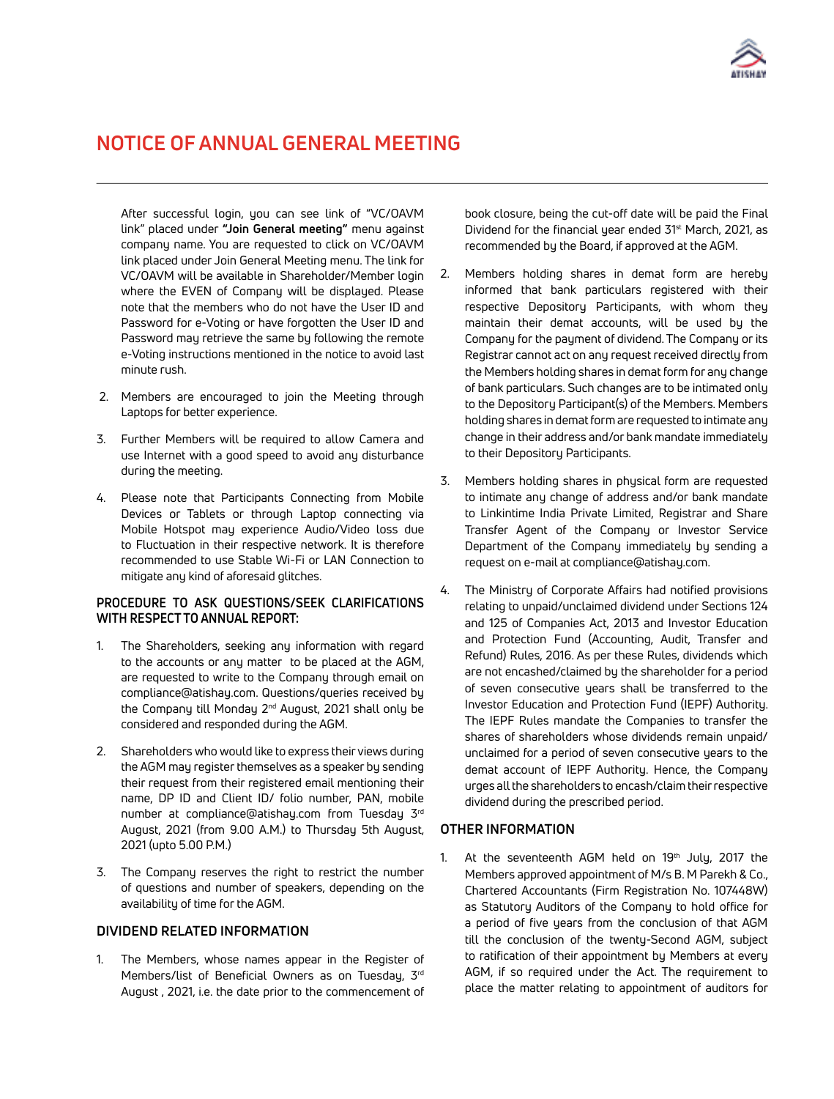

After successful login, you can see link of "VC/OAVM link" placed under **"Join General meeting"** menu against company name. You are requested to click on VC/OAVM link placed under Join General Meeting menu. The link for VC/OAVM will be available in Shareholder/Member login where the EVEN of Company will be displayed. Please note that the members who do not have the User ID and Password for e-Voting or have forgotten the User ID and Password may retrieve the same by following the remote e-Voting instructions mentioned in the notice to avoid last minute rush.

- 2. Members are encouraged to join the Meeting through Laptops for better experience.
- 3. Further Members will be required to allow Camera and use Internet with a good speed to avoid any disturbance during the meeting.
- 4. Please note that Participants Connecting from Mobile Devices or Tablets or through Laptop connecting via Mobile Hotspot may experience Audio/Video loss due to Fluctuation in their respective network. It is therefore recommended to use Stable Wi-Fi or LAN Connection to mitigate any kind of aforesaid glitches.

#### **PROCEDURE TO ASK QUESTIONS/SEEK CLARIFICATIONS WITH RESPECT TO ANNUAL REPORT:**

- 1. The Shareholders, seeking any information with regard to the accounts or any matter to be placed at the AGM, are requested to write to the Company through email on compliance@atishay.com. Questions/queries received by the Company till Monday 2<sup>nd</sup> August, 2021 shall only be considered and responded during the AGM.
- 2. Shareholders who would like to express their views during the AGM may register themselves as a speaker by sending their request from their registered email mentioning their name, DP ID and Client ID/ folio number, PAN, mobile number at [compliance@atishay.com](mailto:compliance@atishay.com) from Tuesday 3rd August, 2021 (from 9.00 A.M.) to Thursday 5th August, 2021 (upto 5.00 P.M.)
- 3. The Company reserves the right to restrict the number of questions and number of speakers, depending on the availability of time for the AGM.

### **DIVIDEND RELATED INFORMATION**

1. The Members, whose names appear in the Register of Members/list of Beneficial Owners as on Tuesday, 3rd August , 2021, i.e. the date prior to the commencement of book closure, being the cut-off date will be paid the Final Dividend for the financial year ended 31st March, 2021, as recommended by the Board, if approved at the AGM.

- 2. Members holding shares in demat form are hereby informed that bank particulars registered with their respective Depository Participants, with whom they maintain their demat accounts, will be used by the Company for the payment of dividend. The Company or its Registrar cannot act on any request received directly from the Members holding shares in demat form for any change of bank particulars. Such changes are to be intimated only to the Depository Participant(s) of the Members. Members holding shares in demat form are requested to intimate any change in their address and/or bank mandate immediately to their Depository Participants.
- 3. Members holding shares in physical form are requested to intimate any change of address and/or bank mandate to Linkintime India Private Limited, Registrar and Share Transfer Agent of the Company or Investor Service Department of the Company immediately by sending a request on e-mail at compliance@atishay.com.
- 4. The Ministry of Corporate Affairs had notified provisions relating to unpaid/unclaimed dividend under Sections 124 and 125 of Companies Act, 2013 and Investor Education and Protection Fund (Accounting, Audit, Transfer and Refund) Rules, 2016. As per these Rules, dividends which are not encashed/claimed by the shareholder for a period of seven consecutive years shall be transferred to the Investor Education and Protection Fund (IEPF) Authority. The IEPF Rules mandate the Companies to transfer the shares of shareholders whose dividends remain unpaid/ unclaimed for a period of seven consecutive years to the demat account of IEPF Authority. Hence, the Company urges all the shareholders to encash/claim their respective dividend during the prescribed period.

#### **OTHER INFORMATION**

1. At the seventeenth AGM held on  $19<sup>th</sup>$  July, 2017 the Members approved appointment of M/s B. M Parekh & Co., Chartered Accountants (Firm Registration No. 107448W) as Statutory Auditors of the Company to hold office for a period of five years from the conclusion of that AGM till the conclusion of the twenty-Second AGM, subject to ratification of their appointment by Members at every AGM, if so required under the Act. The requirement to place the matter relating to appointment of auditors for